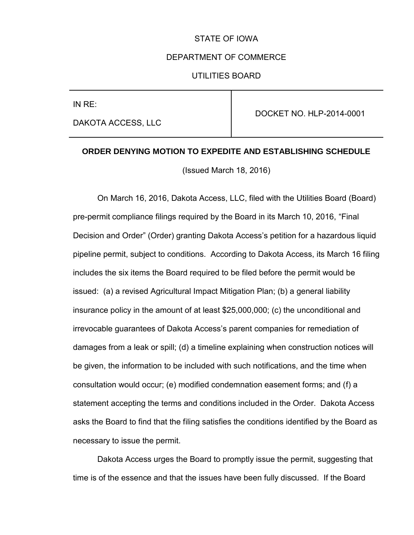## STATE OF IOWA

#### DEPARTMENT OF COMMERCE

## UTILITIES BOARD

IN RE:

DAKOTA ACCESS, LLC

DOCKET NO. HLP-2014-0001

#### **ORDER DENYING MOTION TO EXPEDITE AND ESTABLISHING SCHEDULE**

(Issued March 18, 2016)

 On March 16, 2016, Dakota Access, LLC, filed with the Utilities Board (Board) pre-permit compliance filings required by the Board in its March 10, 2016, "Final Decision and Order" (Order) granting Dakota Access's petition for a hazardous liquid pipeline permit, subject to conditions. According to Dakota Access, its March 16 filing includes the six items the Board required to be filed before the permit would be issued: (a) a revised Agricultural Impact Mitigation Plan; (b) a general liability insurance policy in the amount of at least \$25,000,000; (c) the unconditional and irrevocable guarantees of Dakota Access's parent companies for remediation of damages from a leak or spill; (d) a timeline explaining when construction notices will be given, the information to be included with such notifications, and the time when consultation would occur; (e) modified condemnation easement forms; and (f) a statement accepting the terms and conditions included in the Order. Dakota Access asks the Board to find that the filing satisfies the conditions identified by the Board as necessary to issue the permit.

 Dakota Access urges the Board to promptly issue the permit, suggesting that time is of the essence and that the issues have been fully discussed. If the Board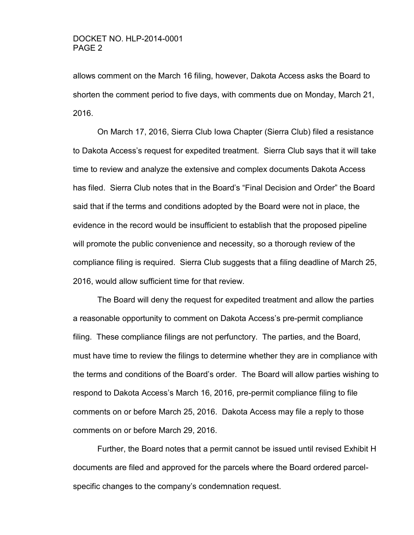allows comment on the March 16 filing, however, Dakota Access asks the Board to shorten the comment period to five days, with comments due on Monday, March 21, 2016.

 On March 17, 2016, Sierra Club Iowa Chapter (Sierra Club) filed a resistance to Dakota Access's request for expedited treatment. Sierra Club says that it will take time to review and analyze the extensive and complex documents Dakota Access has filed. Sierra Club notes that in the Board's "Final Decision and Order" the Board said that if the terms and conditions adopted by the Board were not in place, the evidence in the record would be insufficient to establish that the proposed pipeline will promote the public convenience and necessity, so a thorough review of the compliance filing is required. Sierra Club suggests that a filing deadline of March 25, 2016, would allow sufficient time for that review.

 The Board will deny the request for expedited treatment and allow the parties a reasonable opportunity to comment on Dakota Access's pre-permit compliance filing. These compliance filings are not perfunctory. The parties, and the Board, must have time to review the filings to determine whether they are in compliance with the terms and conditions of the Board's order. The Board will allow parties wishing to respond to Dakota Access's March 16, 2016, pre-permit compliance filing to file comments on or before March 25, 2016. Dakota Access may file a reply to those comments on or before March 29, 2016.

 Further, the Board notes that a permit cannot be issued until revised Exhibit H documents are filed and approved for the parcels where the Board ordered parcelspecific changes to the company's condemnation request.